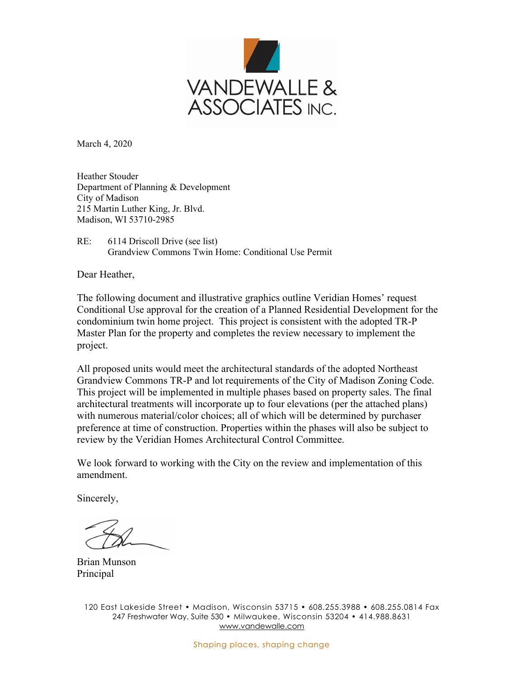

March 4, 2020

Heather Stouder Department of Planning & Development City of Madison 215 Martin Luther King, Jr. Blvd. Madison, WI 53710-2985

RE: 6114 Driscoll Drive (see list) Grandview Commons Twin Home: Conditional Use Permit

Dear Heather,

The following document and illustrative graphics outline Veridian Homes' request Conditional Use approval for the creation of a Planned Residential Development for the condominium twin home project. This project is consistent with the adopted TR-P Master Plan for the property and completes the review necessary to implement the project.

All proposed units would meet the architectural standards of the adopted Northeast Grandview Commons TR-P and lot requirements of the City of Madison Zoning Code. This project will be implemented in multiple phases based on property sales. The final architectural treatments will incorporate up to four elevations (per the attached plans) with numerous material/color choices; all of which will be determined by purchaser preference at time of construction. Properties within the phases will also be subject to review by the Veridian Homes Architectural Control Committee.

We look forward to working with the City on the review and implementation of this amendment.

Sincerely,

Brian Munson Principal

120 East Lakeside Street • Madison, Wisconsin 53715 • 608.255.3988 • 608.255.0814 Fax 247 Freshwater Way, Suite 530 • Milwaukee, Wisconsin 53204 • 414.988.8631 www.vandewalle.com